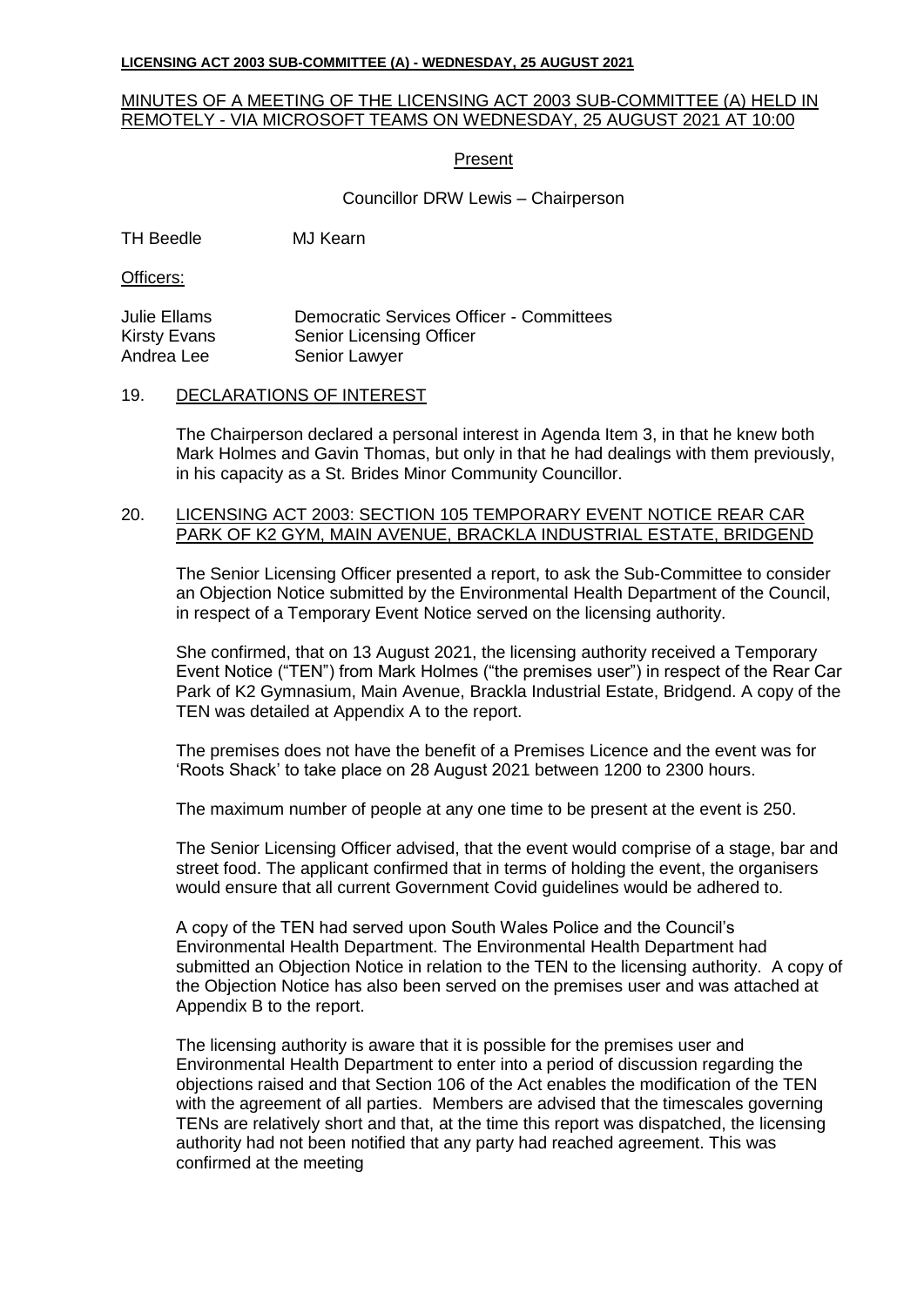#### **LICENSING ACT 2003 SUB-COMMITTEE (A) - WEDNESDAY, 25 AUGUST 2021**

## MINUTES OF A MEETING OF THE LICENSING ACT 2003 SUB-COMMITTEE (A) HELD IN REMOTELY - VIA MICROSOFT TEAMS ON WEDNESDAY, 25 AUGUST 2021 AT 10:00

# Present

## Councillor DRW Lewis – Chairperson

TH Beedle MJ Kearn

Officers:

| <b>Julie Ellams</b> | <b>Democratic Services Officer - Committees</b> |
|---------------------|-------------------------------------------------|
| Kirsty Evans        | <b>Senior Licensing Officer</b>                 |
| Andrea Lee          | Senior Lawyer                                   |

## 19. DECLARATIONS OF INTEREST

The Chairperson declared a personal interest in Agenda Item 3, in that he knew both Mark Holmes and Gavin Thomas, but only in that he had dealings with them previously, in his capacity as a St. Brides Minor Community Councillor.

# 20. LICENSING ACT 2003: SECTION 105 TEMPORARY EVENT NOTICE REAR CAR PARK OF K2 GYM, MAIN AVENUE, BRACKLA INDUSTRIAL ESTATE, BRIDGEND

The Senior Licensing Officer presented a report, to ask the Sub-Committee to consider an Objection Notice submitted by the Environmental Health Department of the Council, in respect of a Temporary Event Notice served on the licensing authority.

She confirmed, that on 13 August 2021, the licensing authority received a Temporary Event Notice ("TEN") from Mark Holmes ("the premises user") in respect of the Rear Car Park of K2 Gymnasium, Main Avenue, Brackla Industrial Estate, Bridgend. A copy of the TEN was detailed at Appendix A to the report.

The premises does not have the benefit of a Premises Licence and the event was for 'Roots Shack' to take place on 28 August 2021 between 1200 to 2300 hours.

The maximum number of people at any one time to be present at the event is 250.

The Senior Licensing Officer advised, that the event would comprise of a stage, bar and street food. The applicant confirmed that in terms of holding the event, the organisers would ensure that all current Government Covid guidelines would be adhered to.

A copy of the TEN had served upon South Wales Police and the Council's Environmental Health Department. The Environmental Health Department had submitted an Objection Notice in relation to the TEN to the licensing authority. A copy of the Objection Notice has also been served on the premises user and was attached at Appendix B to the report.

The licensing authority is aware that it is possible for the premises user and Environmental Health Department to enter into a period of discussion regarding the objections raised and that Section 106 of the Act enables the modification of the TEN with the agreement of all parties. Members are advised that the timescales governing TENs are relatively short and that, at the time this report was dispatched, the licensing authority had not been notified that any party had reached agreement. This was confirmed at the meeting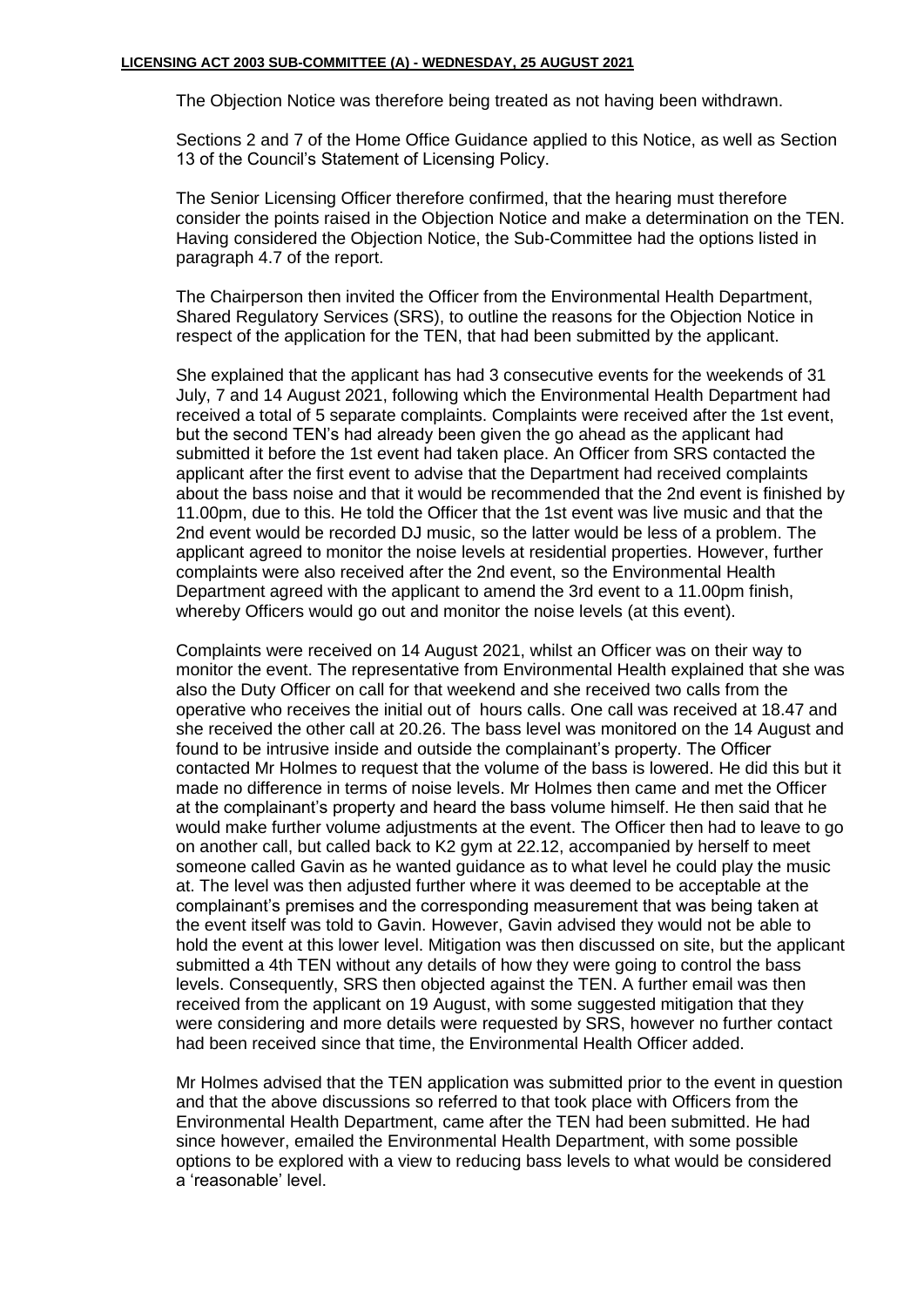The Objection Notice was therefore being treated as not having been withdrawn.

Sections 2 and 7 of the Home Office Guidance applied to this Notice, as well as Section 13 of the Council's Statement of Licensing Policy.

The Senior Licensing Officer therefore confirmed, that the hearing must therefore consider the points raised in the Objection Notice and make a determination on the TEN. Having considered the Objection Notice, the Sub-Committee had the options listed in paragraph 4.7 of the report.

The Chairperson then invited the Officer from the Environmental Health Department, Shared Regulatory Services (SRS), to outline the reasons for the Objection Notice in respect of the application for the TEN, that had been submitted by the applicant.

She explained that the applicant has had 3 consecutive events for the weekends of 31 July, 7 and 14 August 2021, following which the Environmental Health Department had received a total of 5 separate complaints. Complaints were received after the 1st event, but the second TEN's had already been given the go ahead as the applicant had submitted it before the 1st event had taken place. An Officer from SRS contacted the applicant after the first event to advise that the Department had received complaints about the bass noise and that it would be recommended that the 2nd event is finished by 11.00pm, due to this. He told the Officer that the 1st event was live music and that the 2nd event would be recorded DJ music, so the latter would be less of a problem. The applicant agreed to monitor the noise levels at residential properties. However, further complaints were also received after the 2nd event, so the Environmental Health Department agreed with the applicant to amend the 3rd event to a 11.00pm finish, whereby Officers would go out and monitor the noise levels (at this event).

Complaints were received on 14 August 2021, whilst an Officer was on their way to monitor the event. The representative from Environmental Health explained that she was also the Duty Officer on call for that weekend and she received two calls from the operative who receives the initial out of hours calls. One call was received at 18.47 and she received the other call at 20.26. The bass level was monitored on the 14 August and found to be intrusive inside and outside the complainant's property. The Officer contacted Mr Holmes to request that the volume of the bass is lowered. He did this but it made no difference in terms of noise levels. Mr Holmes then came and met the Officer at the complainant's property and heard the bass volume himself. He then said that he would make further volume adjustments at the event. The Officer then had to leave to go on another call, but called back to K2 gym at 22.12, accompanied by herself to meet someone called Gavin as he wanted guidance as to what level he could play the music at. The level was then adjusted further where it was deemed to be acceptable at the complainant's premises and the corresponding measurement that was being taken at the event itself was told to Gavin. However, Gavin advised they would not be able to hold the event at this lower level. Mitigation was then discussed on site, but the applicant submitted a 4th TEN without any details of how they were going to control the bass levels. Consequently, SRS then objected against the TEN. A further email was then received from the applicant on 19 August, with some suggested mitigation that they were considering and more details were requested by SRS, however no further contact had been received since that time, the Environmental Health Officer added.

Mr Holmes advised that the TEN application was submitted prior to the event in question and that the above discussions so referred to that took place with Officers from the Environmental Health Department, came after the TEN had been submitted. He had since however, emailed the Environmental Health Department, with some possible options to be explored with a view to reducing bass levels to what would be considered a 'reasonable' level.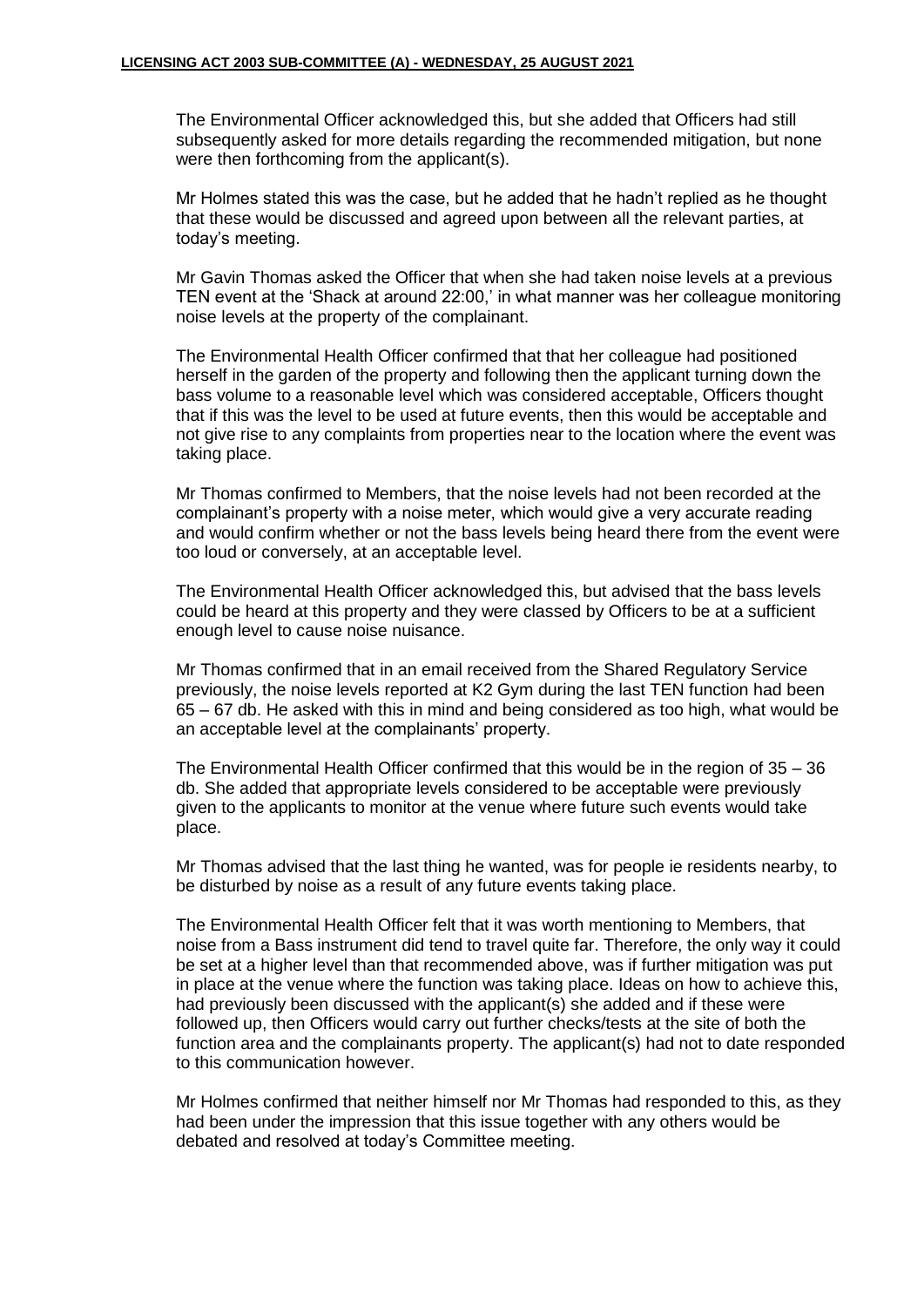The Environmental Officer acknowledged this, but she added that Officers had still subsequently asked for more details regarding the recommended mitigation, but none were then forthcoming from the applicant(s).

Mr Holmes stated this was the case, but he added that he hadn't replied as he thought that these would be discussed and agreed upon between all the relevant parties, at today's meeting.

Mr Gavin Thomas asked the Officer that when she had taken noise levels at a previous TEN event at the 'Shack at around 22:00,' in what manner was her colleague monitoring noise levels at the property of the complainant.

The Environmental Health Officer confirmed that that her colleague had positioned herself in the garden of the property and following then the applicant turning down the bass volume to a reasonable level which was considered acceptable, Officers thought that if this was the level to be used at future events, then this would be acceptable and not give rise to any complaints from properties near to the location where the event was taking place.

Mr Thomas confirmed to Members, that the noise levels had not been recorded at the complainant's property with a noise meter, which would give a very accurate reading and would confirm whether or not the bass levels being heard there from the event were too loud or conversely, at an acceptable level.

The Environmental Health Officer acknowledged this, but advised that the bass levels could be heard at this property and they were classed by Officers to be at a sufficient enough level to cause noise nuisance.

Mr Thomas confirmed that in an email received from the Shared Regulatory Service previously, the noise levels reported at K2 Gym during the last TEN function had been 65 – 67 db. He asked with this in mind and being considered as too high, what would be an acceptable level at the complainants' property.

The Environmental Health Officer confirmed that this would be in the region of 35 – 36 db. She added that appropriate levels considered to be acceptable were previously given to the applicants to monitor at the venue where future such events would take place.

Mr Thomas advised that the last thing he wanted, was for people ie residents nearby, to be disturbed by noise as a result of any future events taking place.

The Environmental Health Officer felt that it was worth mentioning to Members, that noise from a Bass instrument did tend to travel quite far. Therefore, the only way it could be set at a higher level than that recommended above, was if further mitigation was put in place at the venue where the function was taking place. Ideas on how to achieve this, had previously been discussed with the applicant(s) she added and if these were followed up, then Officers would carry out further checks/tests at the site of both the function area and the complainants property. The applicant(s) had not to date responded to this communication however.

Mr Holmes confirmed that neither himself nor Mr Thomas had responded to this, as they had been under the impression that this issue together with any others would be debated and resolved at today's Committee meeting.